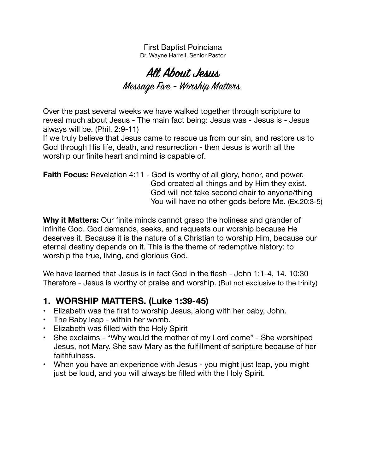First Baptist Poinciana Dr. Wayne Harrell, Senior Pastor

# **All About Jesus**  Message Five - Worship Matters.

Over the past several weeks we have walked together through scripture to reveal much about Jesus - The main fact being: Jesus was - Jesus is - Jesus always will be. (Phil. 2:9-11)

If we truly believe that Jesus came to rescue us from our sin, and restore us to God through His life, death, and resurrection - then Jesus is worth all the worship our finite heart and mind is capable of.

**Faith Focus:** Revelation 4:11 - God is worthy of all glory, honor, and power. God created all things and by Him they exist. God will not take second chair to anyone/thing You will have no other gods before Me. (Ex.20:3-5)

**Why it Matters:** Our finite minds cannot grasp the holiness and grander of infinite God. God demands, seeks, and requests our worship because He deserves it. Because it is the nature of a Christian to worship Him, because our eternal destiny depends on it. This is the theme of redemptive history: to worship the true, living, and glorious God.

We have learned that Jesus is in fact God in the flesh - John 1:1-4, 14. 10:30 Therefore - Jesus is worthy of praise and worship. (But not exclusive to the trinity)

### **1. WORSHIP MATTERS. (Luke 1:39-45)**

- Elizabeth was the first to worship Jesus, along with her baby, John.
- The Baby leap within her womb.
- Elizabeth was filled with the Holy Spirit
- She exclaims "Why would the mother of my Lord come" She worshiped Jesus, not Mary. She saw Mary as the fulfillment of scripture because of her faithfulness.
- When you have an experience with Jesus you might just leap, you might just be loud, and you will always be filled with the Holy Spirit.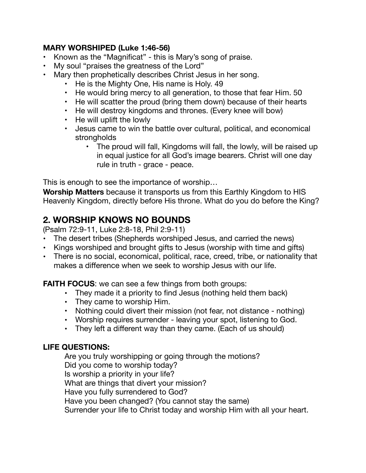#### **MARY WORSHIPED (Luke 1:46-56)**

- Known as the "Magnificat" this is Mary's song of praise.
- My soul "praises the greatness of the Lord"
- Mary then prophetically describes Christ Jesus in her song.
	- He is the Mighty One, His name is Holy. 49
	- He would bring mercy to all generation, to those that fear Him. 50
	- He will scatter the proud (bring them down) because of their hearts
	- He will destroy kingdoms and thrones. (Every knee will bow)
	- He will uplift the lowly
	- Jesus came to win the battle over cultural, political, and economical strongholds
		- The proud will fall, Kingdoms will fall, the lowly, will be raised up in equal justice for all God's image bearers. Christ will one day rule in truth - grace - peace.

This is enough to see the importance of worship…

**Worship Matters** because it transports us from this Earthly Kingdom to HIS Heavenly Kingdom, directly before His throne. What do you do before the King?

## **2. WORSHIP KNOWS NO BOUNDS**

(Psalm 72:9-11, Luke 2:8-18, Phil 2:9-11)

- **•** The desert tribes (Shepherds worshiped Jesus, and carried the news)
- **•** Kings worshiped and brought gifts to Jesus (worship with time and gifts)
- **•** There is no social, economical, political, race, creed, tribe, or nationality that makes a difference when we seek to worship Jesus with our life.

**FAITH FOCUS:** we can see a few things from both groups:

- **•** They made it a priority to find Jesus (nothing held them back)
- **•** They came to worship Him.
- **•** Nothing could divert their mission (not fear, not distance nothing)
- **•** Worship requires surrender leaving your spot, listening to God.
- **•** They left a different way than they came. (Each of us should)

#### **LIFE QUESTIONS:**

Are you truly worshipping or going through the motions? Did you come to worship today? Is worship a priority in your life? What are things that divert your mission? Have you fully surrendered to God? Have you been changed? (You cannot stay the same) Surrender your life to Christ today and worship Him with all your heart.